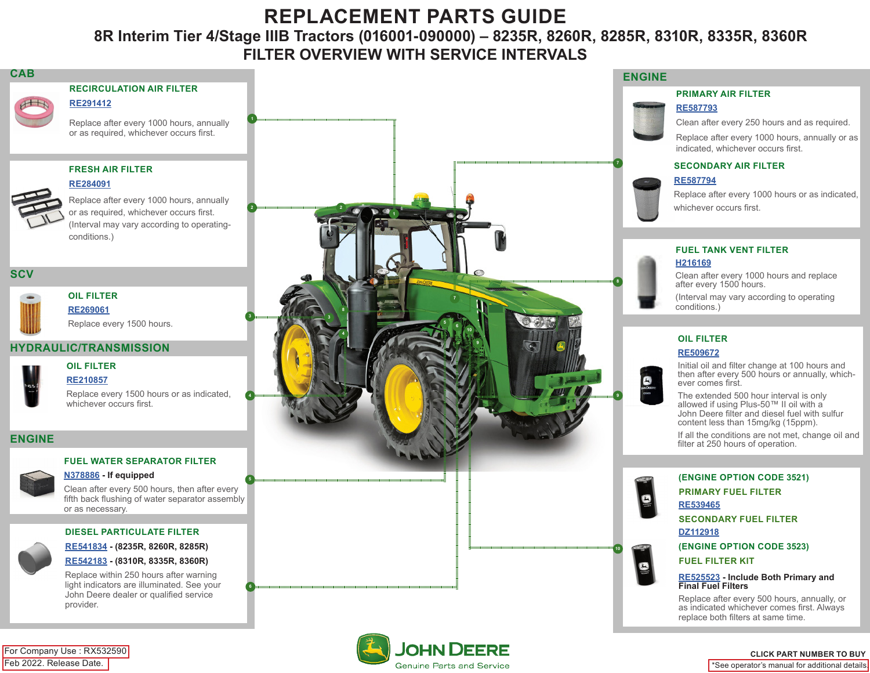# **REPLACEMENT PARTS GUIDE**

# **8R Interim Tier 4/Stage IIIB Tractors (016001-090000) – 8235R, 8260R, 8285R, 8310R, 8335R, 8360R FILTER OVERVIEW WITH SERVICE INTERVALS**

### **CAB**

**RECIRCULATION AIR FILTER**

Replace after every 1000 hours, annually or as required, whichever occurs first.

## **FRESH AIR FILTER**



**[RE291412](https://jdparts.deere.com/servlet/com.deere.u90.jdparts.view.servlets.partinfocontroller.PartDetails?screenName=JDSearch&&partSearchNumber=RE291412)**

Replace after every 1000 hours, annually or as required, whichever occurs first. (Interval may vary according to operatingconditions.)

## **SCV**

**OIL FILTER [RE269061](https://jdparts.deere.com/servlet/com.deere.u90.jdparts.view.servlets.partinfocontroller.PartDetails?screenName=JDSearch&&partSearchNumber=RE269061)** Replace every 1500 hours.

# **HYDRAULIC/TRANSMISSION OIL FILTER**

**[RE210857](https://jdparts.deere.com/servlet/com.deere.u90.jdparts.view.servlets.partinfocontroller.PartDetails?screenName=JDSearch&&partSearchNumber=RE210857)**

Replace every 1500 hours or as indicated, whichever occurs first.

# **ENGINE**

# **FUEL WATER SEPARATOR FILTER**

#### **ENGINEERING COMPANY [N378886](https://jdparts.deere.com/servlet/com.deere.u90.jdparts.view.servlets.partinfocontroller.PartDetails?screenName=JDSearch&&partSearchNumber=N378886) - If equipped**

Clean after every 500 hours, then after every fifth back flushing of water separator assembly or as necessary.

### **DIESEL PARTICULATE FILTER**



**[RE541834](https://jdparts.deere.com/servlet/com.deere.u90.jdparts.view.servlets.partinfocontroller.PartDetails?screenName=JDSearch&&partSearchNumber=RE541834) - (8235R, 8260R, 8285R)**

# **[RE542183](https://jdparts.deere.com/servlet/com.deere.u90.jdparts.view.servlets.partinfocontroller.PartDetails?screenName=JDSearch&&partSearchNumber=RE542183) - (8310R, 8335R, 8360R)**

Replace within 250 hours after warning light indicators are illuminated. See your John Deere dealer or qualified service provider.



Genuine Parts and Service

## **ENGINE**

#### **PRIMARY AIR FILTER**

#### **[RE587793](https://jdparts.deere.com/servlet/com.deere.u90.jdparts.view.servlets.partinfocontroller.PartDetails?screenName=JDSearch&&partSearchNumber=RE587793)**

Clean after every 250 hours and as required.

Replace after every 1000 hours, annually or as indicated, whichever occurs first.

#### **<sup>4</sup> SECONDARY AIR FILTER**

### **[RE587794](https://jdparts.deere.com/servlet/com.deere.u90.jdparts.view.servlets.partinfocontroller.PartDetails?screenName=JDSearch&&partSearchNumber=RE587794)**

Replace after every 1000 hours or as indicated, whichever occurs first.

#### **FUEL TANK VENT FILTER [H216169](https://jdparts.deere.com/servlet/com.deere.u90.jdparts.view.servlets.partinfocontroller.PartDetails?screenName=JDSearch&&partSearchNumber=H216169)**

Clean after every 1000 hours and replace after every 1500 hours.

(Interval may vary according to operating conditions.)

# **OIL FILTER**

### **[RE509672](https://jdparts.deere.com/servlet/com.deere.u90.jdparts.view.servlets.partinfocontroller.PartDetails?screenName=JDSearch&&partSearchNumber=RE509672)**

B

Initial oil and filter change at 100 hours and then after every 500 hours or annually, whichever comes first.

The extended 500 hour interval is only allowed if using Plus-50™ II oil with a John Deere filter and diesel fuel with sulfur content less than 15mg/kg (15ppm).

If all the conditions are not met, change oil and filter at 250 hours of operation.

### **(ENGINE OPTION CODE 3521)**

**PRIMARY FUEL FILTER**

**[RE539465](https://jdparts.deere.com/servlet/com.deere.u90.jdparts.view.servlets.partinfocontroller.PartDetails?screenName=JDSearch&&partSearchNumber=RE539465)**

**SECONDARY FUEL FILTER [DZ112918](https://jdparts.deere.com/servlet/com.deere.u90.jdparts.view.servlets.partinfocontroller.PartDetails?screenName=JDSearch&&partSearchNumber=DZ112918)**

**(ENGINE OPTION CODE 3523)**

# **FUEL FILTER KIT**

**[RE525523](https://jdparts.deere.com/servlet/com.deere.u90.jdparts.view.servlets.partinfocontroller.PartDetails?screenName=JDSearch&&partSearchNumber=RE525523) - Include Both Primary and Final Fuel Filters**

Replace after every 500 hours, annually, or as indicated whichever comes first. Always replace both filters at same time.

### Feb 2022. Release Date. For Company Use : RX532590

# **CLICK PART NUMBER TO BUY**

\*See operator's manual for additional details.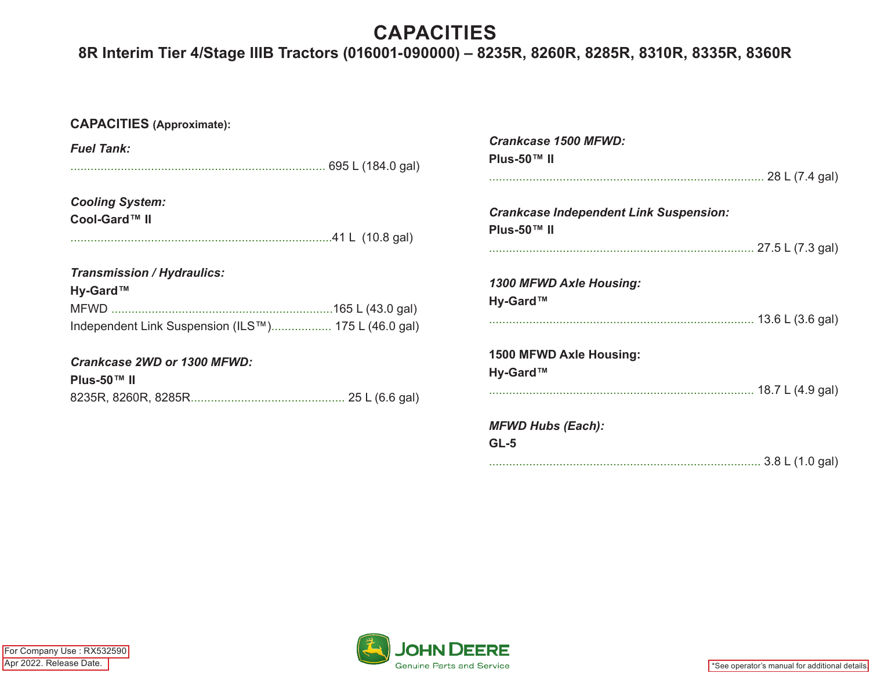# **CAPACITIES**

# **8R Interim Tier 4/Stage IIIB Tractors (016001-090000) – 8235R, 8260R, 8285R, 8310R, 8335R, 8360R**

| <b>CAPACITIES</b> (Approximate):                                                                     |                                                              |
|------------------------------------------------------------------------------------------------------|--------------------------------------------------------------|
| <b>Fuel Tank:</b>                                                                                    | <b>Crankcase 1500 MFWD:</b><br>Plus-50™ II                   |
| <b>Cooling System:</b><br>Cool-Gard™ II                                                              | <b>Crankcase Independent Link Suspension:</b><br>Plus-50™ II |
| <b>Transmission / Hydraulics:</b><br>Hy-Gard™<br>Independent Link Suspension (ILS™) 175 L (46.0 gal) | 1300 MFWD Axle Housing:<br>Hy-Gard™                          |
| <b>Crankcase 2WD or 1300 MFWD:</b><br>Plus-50™ II                                                    | 1500 MFWD Axle Housing:<br>Hy-Gard™                          |
|                                                                                                      | <b>MFWD Hubs (Each):</b><br>$GL-5$                           |

................................................................................. 3.8 L (1.0 gal)



\*See operator's manual for additional details.